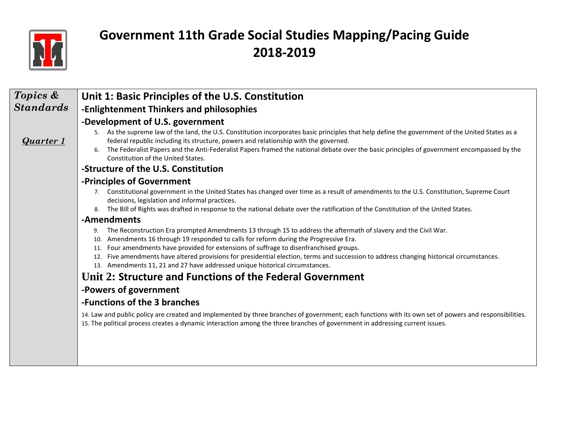

| Topics &         | Unit 1: Basic Principles of the U.S. Constitution                                                                                                                                                                                                                                                                                                                                            |
|------------------|----------------------------------------------------------------------------------------------------------------------------------------------------------------------------------------------------------------------------------------------------------------------------------------------------------------------------------------------------------------------------------------------|
| <b>Standards</b> | -Enlightenment Thinkers and philosophies                                                                                                                                                                                                                                                                                                                                                     |
|                  | -Development of U.S. government                                                                                                                                                                                                                                                                                                                                                              |
| <b>Quarter</b> 1 | 5. As the supreme law of the land, the U.S. Constitution incorporates basic principles that help define the government of the United States as a<br>federal republic including its structure, powers and relationship with the governed.<br>The Federalist Papers and the Anti-Federalist Papers framed the national debate over the basic principles of government encompassed by the<br>6. |
|                  | Constitution of the United States.                                                                                                                                                                                                                                                                                                                                                           |
|                  | -Structure of the U.S. Constitution                                                                                                                                                                                                                                                                                                                                                          |
|                  | -Principles of Government                                                                                                                                                                                                                                                                                                                                                                    |
|                  | Constitutional government in the United States has changed over time as a result of amendments to the U.S. Constitution, Supreme Court<br>decisions, legislation and informal practices.                                                                                                                                                                                                     |
|                  | The Bill of Rights was drafted in response to the national debate over the ratification of the Constitution of the United States.                                                                                                                                                                                                                                                            |
|                  | -Amendments                                                                                                                                                                                                                                                                                                                                                                                  |
|                  | The Reconstruction Era prompted Amendments 13 through 15 to address the aftermath of slavery and the Civil War.<br>9.<br>Amendments 16 through 19 responded to calls for reform during the Progressive Era.<br>10.                                                                                                                                                                           |
|                  | Four amendments have provided for extensions of suffrage to disenfranchised groups.<br>11.                                                                                                                                                                                                                                                                                                   |
|                  | Five amendments have altered provisions for presidential election, terms and succession to address changing historical circumstances.<br>12.<br>13. Amendments 11, 21 and 27 have addressed unique historical circumstances.                                                                                                                                                                 |
|                  | Unit 2: Structure and Functions of the Federal Government                                                                                                                                                                                                                                                                                                                                    |
|                  | -Powers of government                                                                                                                                                                                                                                                                                                                                                                        |
|                  | -Functions of the 3 branches                                                                                                                                                                                                                                                                                                                                                                 |
|                  | 14. Law and public policy are created and implemented by three branches of government; each functions with its own set of powers and responsibilities.<br>15. The political process creates a dynamic interaction among the three branches of government in addressing current issues.                                                                                                       |
|                  |                                                                                                                                                                                                                                                                                                                                                                                              |
|                  |                                                                                                                                                                                                                                                                                                                                                                                              |
|                  |                                                                                                                                                                                                                                                                                                                                                                                              |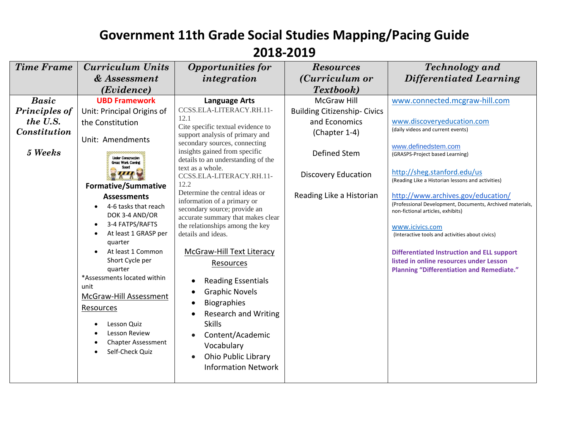| <b>Time Frame</b>                                                                  | <b>Curriculum Units</b>                                                                                                                                                                                                                                                                                                                                                                                                                                                                                                                                                | <b>Opportunities for</b>                                                                                                                                                                                                                                                                                                                                                                                                                                                                                                                                                                                                                                                                                               | <b>Resources</b>                                                                                                                                                                                    | <b>Technology</b> and                                                                                                                                                                                                                                                                                                                                                                                                                                                                                                                                                                                                                       |
|------------------------------------------------------------------------------------|------------------------------------------------------------------------------------------------------------------------------------------------------------------------------------------------------------------------------------------------------------------------------------------------------------------------------------------------------------------------------------------------------------------------------------------------------------------------------------------------------------------------------------------------------------------------|------------------------------------------------------------------------------------------------------------------------------------------------------------------------------------------------------------------------------------------------------------------------------------------------------------------------------------------------------------------------------------------------------------------------------------------------------------------------------------------------------------------------------------------------------------------------------------------------------------------------------------------------------------------------------------------------------------------------|-----------------------------------------------------------------------------------------------------------------------------------------------------------------------------------------------------|---------------------------------------------------------------------------------------------------------------------------------------------------------------------------------------------------------------------------------------------------------------------------------------------------------------------------------------------------------------------------------------------------------------------------------------------------------------------------------------------------------------------------------------------------------------------------------------------------------------------------------------------|
|                                                                                    |                                                                                                                                                                                                                                                                                                                                                                                                                                                                                                                                                                        |                                                                                                                                                                                                                                                                                                                                                                                                                                                                                                                                                                                                                                                                                                                        |                                                                                                                                                                                                     |                                                                                                                                                                                                                                                                                                                                                                                                                                                                                                                                                                                                                                             |
| <b>Basic</b><br><b>Principles of</b><br>the U.S.<br><b>Constitution</b><br>5 Weeks | & Assessment<br>(Evidence)<br><b>UBD Framework</b><br>Unit: Principal Origins of<br>the Constitution<br>Unit: Amendments<br><b>Under Construction</b><br><b>Great Work Coming</b><br>Soon!<br><b>Formative/Summative</b><br><b>Assessments</b><br>4-6 tasks that reach<br>DOK 3-4 AND/OR<br>3-4 FATPS/RAFTS<br>At least 1 GRASP per<br>quarter<br>At least 1 Common<br>Short Cycle per<br>quarter<br>*Assessments located within<br>unit<br>McGraw-Hill Assessment<br><b>Resources</b><br>Lesson Quiz<br>Lesson Review<br><b>Chapter Assessment</b><br>Self-Check Quiz | integration<br><b>Language Arts</b><br>CCSS.ELA-LITERACY.RH.11-<br>12.1<br>Cite specific textual evidence to<br>support analysis of primary and<br>secondary sources, connecting<br>insights gained from specific<br>details to an understanding of the<br>text as a whole.<br>CCSS.ELA-LITERACY.RH.11-<br>12.2<br>Determine the central ideas or<br>information of a primary or<br>secondary source; provide an<br>accurate summary that makes clear<br>the relationships among the key<br>details and ideas.<br>McGraw-Hill Text Literacy<br>Resources<br><b>Reading Essentials</b><br><b>Graphic Novels</b><br><b>Biographies</b><br><b>Research and Writing</b><br><b>Skills</b><br>Content/Academic<br>Vocabulary | (Curriculum or<br>Textbook)<br><b>McGraw Hill</b><br><b>Building Citizenship-Civics</b><br>and Economics<br>(Chapter 1-4)<br>Defined Stem<br><b>Discovery Education</b><br>Reading Like a Historian | Differentiated Learning<br>www.connected.mcgraw-hill.com<br>www.discoveryeducation.com<br>(daily videos and current events)<br>www.definedstem.com<br>(GRASPS-Project based Learning)<br>http://sheg.stanford.edu/us<br>(Reading Like a Historian lessons and activities)<br>http://www.archives.gov/education/<br>(Professional Development, Documents, Archived materials,<br>non-fictional articles, exhibits)<br>www.icivics.com<br>(Interactive tools and activities about civics)<br><b>Differentiated Instruction and ELL support</b><br>listed in online resources under Lesson<br><b>Planning "Differentiation and Remediate."</b> |
|                                                                                    |                                                                                                                                                                                                                                                                                                                                                                                                                                                                                                                                                                        | <b>Ohio Public Library</b><br><b>Information Network</b>                                                                                                                                                                                                                                                                                                                                                                                                                                                                                                                                                                                                                                                               |                                                                                                                                                                                                     |                                                                                                                                                                                                                                                                                                                                                                                                                                                                                                                                                                                                                                             |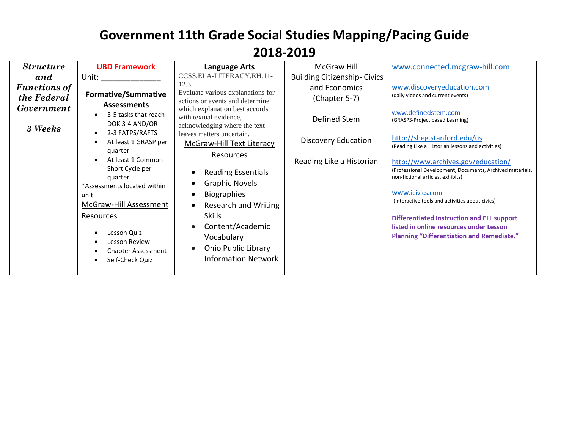| <b>Structure</b><br>and<br><b>Functions of</b><br>the Federal<br><b>Government</b><br>3 Weeks | <b>UBD Framework</b><br>Unit: the contract of the contract of the contract of the contract of the contract of the contract of the contract of the contract of the contract of the contract of the contract of the contract of the contract of the cont<br><b>Formative/Summative</b><br><b>Assessments</b><br>3-5 tasks that reach<br>DOK 3-4 AND/OR<br>2-3 FATPS/RAFTS<br>At least 1 GRASP per<br>quarter<br>At least 1 Common<br>Short Cycle per<br>quarter<br>*Assessments located within<br>unit<br>McGraw-Hill Assessment<br>Resources<br>Lesson Quiz<br><b>Lesson Review</b><br><b>Chapter Assessment</b><br>Self-Check Quiz | <b>Language Arts</b><br>CCSS.ELA-LITERACY.RH.11-<br>12.3<br>Evaluate various explanations for<br>actions or events and determine<br>which explanation best accords<br>with textual evidence,<br>acknowledging where the text<br>leaves matters uncertain.<br>McGraw-Hill Text Literacy<br>Resources<br><b>Reading Essentials</b><br><b>Graphic Novels</b><br><b>Biographies</b><br>Research and Writing<br><b>Skills</b><br>Content/Academic<br>Vocabulary<br>Ohio Public Library<br><b>Information Network</b> | <b>McGraw Hill</b><br><b>Building Citizenship-Civics</b><br>and Economics<br>(Chapter 5-7)<br>Defined Stem<br><b>Discovery Education</b><br>Reading Like a Historian | www.connected.mcgraw-hill.com<br>www.discoveryeducation.com<br>(daily videos and current events)<br>www.definedstem.com<br>(GRASPS-Project based Learning)<br>http://sheg.stanford.edu/us<br>(Reading Like a Historian lessons and activities)<br>http://www.archives.gov/education/<br>(Professional Development, Documents, Archived materials,<br>non-fictional articles, exhibits)<br>www.icivics.com<br>(Interactive tools and activities about civics)<br><b>Differentiated Instruction and ELL support</b><br>listed in online resources under Lesson<br><b>Planning "Differentiation and Remediate."</b> |
|-----------------------------------------------------------------------------------------------|------------------------------------------------------------------------------------------------------------------------------------------------------------------------------------------------------------------------------------------------------------------------------------------------------------------------------------------------------------------------------------------------------------------------------------------------------------------------------------------------------------------------------------------------------------------------------------------------------------------------------------|-----------------------------------------------------------------------------------------------------------------------------------------------------------------------------------------------------------------------------------------------------------------------------------------------------------------------------------------------------------------------------------------------------------------------------------------------------------------------------------------------------------------|----------------------------------------------------------------------------------------------------------------------------------------------------------------------|------------------------------------------------------------------------------------------------------------------------------------------------------------------------------------------------------------------------------------------------------------------------------------------------------------------------------------------------------------------------------------------------------------------------------------------------------------------------------------------------------------------------------------------------------------------------------------------------------------------|
|-----------------------------------------------------------------------------------------------|------------------------------------------------------------------------------------------------------------------------------------------------------------------------------------------------------------------------------------------------------------------------------------------------------------------------------------------------------------------------------------------------------------------------------------------------------------------------------------------------------------------------------------------------------------------------------------------------------------------------------------|-----------------------------------------------------------------------------------------------------------------------------------------------------------------------------------------------------------------------------------------------------------------------------------------------------------------------------------------------------------------------------------------------------------------------------------------------------------------------------------------------------------------|----------------------------------------------------------------------------------------------------------------------------------------------------------------------|------------------------------------------------------------------------------------------------------------------------------------------------------------------------------------------------------------------------------------------------------------------------------------------------------------------------------------------------------------------------------------------------------------------------------------------------------------------------------------------------------------------------------------------------------------------------------------------------------------------|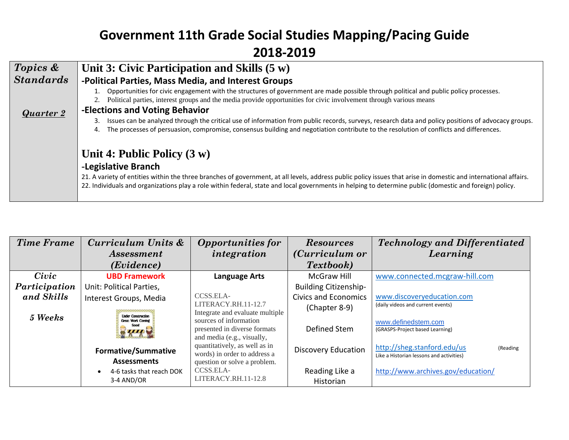| Topics &         | Unit 3: Civic Participation and Skills $(5 w)$                                                                                                                                                                                                                                                                              |
|------------------|-----------------------------------------------------------------------------------------------------------------------------------------------------------------------------------------------------------------------------------------------------------------------------------------------------------------------------|
| <b>Standards</b> | -Political Parties, Mass Media, and Interest Groups                                                                                                                                                                                                                                                                         |
|                  | Opportunities for civic engagement with the structures of government are made possible through political and public policy processes.<br>Political parties, interest groups and the media provide opportunities for civic involvement through various means                                                                 |
| Quarter 2        | -Elections and Voting Behavior                                                                                                                                                                                                                                                                                              |
|                  | Issues can be analyzed through the critical use of information from public records, surveys, research data and policy positions of advocacy groups.<br>The processes of persuasion, compromise, consensus building and negotiation contribute to the resolution of conflicts and differences.<br>4.                         |
|                  | Unit 4: Public Policy $(3 w)$                                                                                                                                                                                                                                                                                               |
|                  | -Legislative Branch                                                                                                                                                                                                                                                                                                         |
|                  | 21. A variety of entities within the three branches of government, at all levels, address public policy issues that arise in domestic and international affairs.<br>22. Individuals and organizations play a role within federal, state and local governments in helping to determine public (domestic and foreign) policy. |

| <b>Time Frame</b> | Curriculum Units &                             | <b>Opportunities for</b>                                                             | <b>Resources</b>             | <b>Technology and Differentiated</b>                                                |
|-------------------|------------------------------------------------|--------------------------------------------------------------------------------------|------------------------------|-------------------------------------------------------------------------------------|
|                   | <i>Assessment</i>                              | integration                                                                          | ( <i>Curriculum or</i>       | Learning                                                                            |
|                   | (Evidence)                                     |                                                                                      | Textbook)                    |                                                                                     |
| Civic             | <b>UBD Framework</b>                           | <b>Language Arts</b>                                                                 | <b>McGraw Hill</b>           | www.connected.mcgraw-hill.com                                                       |
| Participation     | Unit: Political Parties,                       |                                                                                      | <b>Building Citizenship-</b> |                                                                                     |
| and Skills        | Interest Groups, Media                         | CCSS.ELA-                                                                            | <b>Civics and Economics</b>  | www.discoveryeducation.com                                                          |
| 5 Weeks           | <b>Under Construction</b>                      | LITERACY.RH.11-12.7<br>Integrate and evaluate multiple                               | (Chapter 8-9)                | (daily videos and current events)                                                   |
|                   | Great Work Coming<br>Soon<br>ШТ                | sources of information<br>presented in diverse formats<br>and media (e.g., visually, | Defined Stem                 | www.definedstem.com<br>(GRASPS-Project based Learning)                              |
|                   | <b>Formative/Summative</b>                     | quantitatively, as well as in<br>words) in order to address a                        | <b>Discovery Education</b>   | http://sheg.stanford.edu/us<br>(Reading<br>Like a Historian lessons and activities) |
|                   | <b>Assessments</b><br>4-6 tasks that reach DOK | question or solve a problem.<br>CCSS.ELA-                                            | Reading Like a               | http://www.archives.gov/education/                                                  |
|                   | 3-4 AND/OR                                     | LITERACY.RH.11-12.8                                                                  | Historian                    |                                                                                     |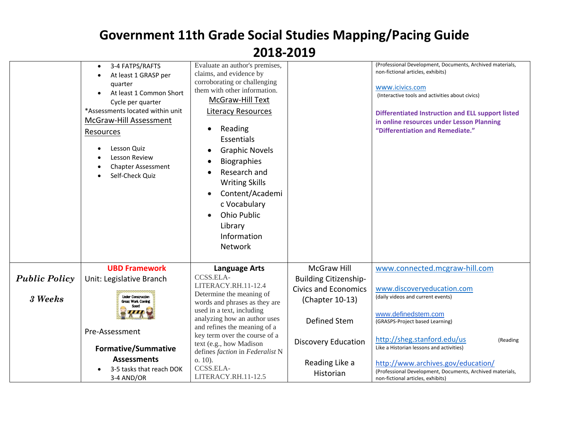|                      | 3-4 FATPS/RAFTS<br>At least 1 GRASP per<br>quarter<br>At least 1 Common Short<br>Cycle per quarter<br>*Assessments located within unit<br>McGraw-Hill Assessment<br>Resources<br>Lesson Quiz<br>Lesson Review<br><b>Chapter Assessment</b><br>Self-Check Quiz | Evaluate an author's premises,<br>claims, and evidence by<br>corroborating or challenging<br>them with other information.<br>McGraw-Hill Text<br><b>Literacy Resources</b><br>Reading<br>Essentials<br><b>Graphic Novels</b><br><b>Biographies</b><br>Research and<br><b>Writing Skills</b><br>Content/Academi<br>c Vocabulary<br><b>Ohio Public</b><br>Library<br>Information<br>Network |                                                | (Professional Development, Documents, Archived materials,<br>non-fictional articles, exhibits)<br>www.icivics.com<br>(Interactive tools and activities about civics)<br><b>Differentiated Instruction and ELL support listed</b><br>in online resources under Lesson Planning<br>"Differentiation and Remediate." |
|----------------------|---------------------------------------------------------------------------------------------------------------------------------------------------------------------------------------------------------------------------------------------------------------|-------------------------------------------------------------------------------------------------------------------------------------------------------------------------------------------------------------------------------------------------------------------------------------------------------------------------------------------------------------------------------------------|------------------------------------------------|-------------------------------------------------------------------------------------------------------------------------------------------------------------------------------------------------------------------------------------------------------------------------------------------------------------------|
|                      | <b>UBD Framework</b>                                                                                                                                                                                                                                          | <b>Language Arts</b>                                                                                                                                                                                                                                                                                                                                                                      | <b>McGraw Hill</b>                             | www.connected.mcgraw-hill.com                                                                                                                                                                                                                                                                                     |
| <b>Public Policy</b> | Unit: Legislative Branch                                                                                                                                                                                                                                      | CCSS.ELA-<br>LITERACY.RH.11-12.4                                                                                                                                                                                                                                                                                                                                                          | <b>Building Citizenship-</b>                   |                                                                                                                                                                                                                                                                                                                   |
| 3 Weeks              | <b>Under Construction</b><br><b>Great Work Coming</b>                                                                                                                                                                                                         | Determine the meaning of<br>words and phrases as they are                                                                                                                                                                                                                                                                                                                                 | <b>Civics and Economics</b><br>(Chapter 10-13) | www.discoveryeducation.com<br>(daily videos and current events)                                                                                                                                                                                                                                                   |
|                      |                                                                                                                                                                                                                                                               | used in a text, including<br>analyzing how an author uses                                                                                                                                                                                                                                                                                                                                 | Defined Stem                                   | www.definedstem.com<br>(GRASPS-Project based Learning)                                                                                                                                                                                                                                                            |
|                      | Pre-Assessment                                                                                                                                                                                                                                                | and refines the meaning of a<br>key term over the course of a                                                                                                                                                                                                                                                                                                                             |                                                | http://sheg.stanford.edu/us<br>(Reading                                                                                                                                                                                                                                                                           |
|                      | <b>Formative/Summative</b>                                                                                                                                                                                                                                    | text (e.g., how Madison<br>defines faction in Federalist N                                                                                                                                                                                                                                                                                                                                | <b>Discovery Education</b>                     | Like a Historian lessons and activities)                                                                                                                                                                                                                                                                          |
|                      | <b>Assessments</b>                                                                                                                                                                                                                                            | $0.10$ ).                                                                                                                                                                                                                                                                                                                                                                                 | Reading Like a                                 | http://www.archives.gov/education/                                                                                                                                                                                                                                                                                |
|                      | 3-5 tasks that reach DOK<br>3-4 AND/OR                                                                                                                                                                                                                        | CCSS.ELA-<br>LITERACY.RH.11-12.5                                                                                                                                                                                                                                                                                                                                                          | Historian                                      | (Professional Development, Documents, Archived materials,<br>non-fictional articles, exhibits)                                                                                                                                                                                                                    |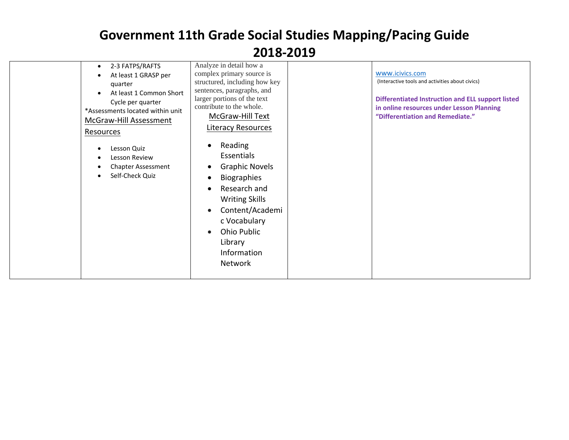| 2-3 FATPS/RAFTS<br>$\bullet$<br>At least 1 GRASP per<br>quarter<br>At least 1 Common Short<br>Cycle per quarter<br>*Assessments located within unit<br>McGraw-Hill Assessment<br>Resources<br>Lesson Quiz<br>Lesson Review<br><b>Chapter Assessment</b><br>Self-Check Quiz | Analyze in detail how a<br>complex primary source is<br>structured, including how key<br>sentences, paragraphs, and<br>larger portions of the text<br>contribute to the whole.<br>McGraw-Hill Text<br>Literacy Resources<br>Reading<br>Essentials<br><b>Graphic Novels</b><br><b>Biographies</b><br>Research and<br><b>Writing Skills</b><br>Content/Academi<br>c Vocabulary<br>Ohio Public<br>Library<br>Information<br><b>Network</b> | www.icivics.com<br>(Interactive tools and activities about civics)<br><b>Differentiated Instruction and ELL support listed</b><br>in online resources under Lesson Planning<br>"Differentiation and Remediate." |
|----------------------------------------------------------------------------------------------------------------------------------------------------------------------------------------------------------------------------------------------------------------------------|-----------------------------------------------------------------------------------------------------------------------------------------------------------------------------------------------------------------------------------------------------------------------------------------------------------------------------------------------------------------------------------------------------------------------------------------|-----------------------------------------------------------------------------------------------------------------------------------------------------------------------------------------------------------------|
|----------------------------------------------------------------------------------------------------------------------------------------------------------------------------------------------------------------------------------------------------------------------------|-----------------------------------------------------------------------------------------------------------------------------------------------------------------------------------------------------------------------------------------------------------------------------------------------------------------------------------------------------------------------------------------------------------------------------------------|-----------------------------------------------------------------------------------------------------------------------------------------------------------------------------------------------------------------|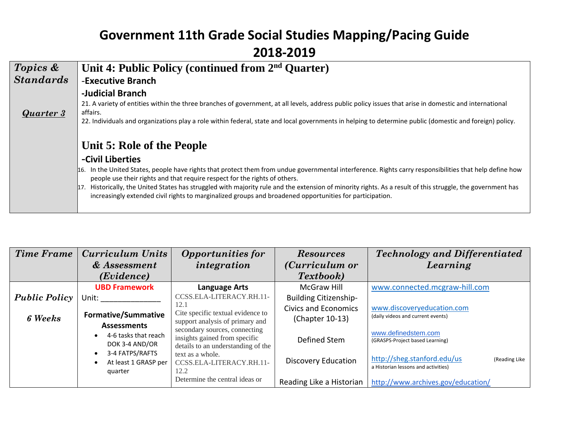| Topics &         | Unit 4: Public Policy (continued from 2 <sup>nd</sup> Quarter)                                                                                                                                                                                                                                                                                                                                                                                                                                                         |
|------------------|------------------------------------------------------------------------------------------------------------------------------------------------------------------------------------------------------------------------------------------------------------------------------------------------------------------------------------------------------------------------------------------------------------------------------------------------------------------------------------------------------------------------|
| <b>Standards</b> | -Executive Branch                                                                                                                                                                                                                                                                                                                                                                                                                                                                                                      |
| Quarter 3        | -Judicial Branch<br>21. A variety of entities within the three branches of government, at all levels, address public policy issues that arise in domestic and international<br>affairs.<br>22. Individuals and organizations play a role within federal, state and local governments in helping to determine public (domestic and foreign) policy.                                                                                                                                                                     |
|                  | Unit 5: Role of the People                                                                                                                                                                                                                                                                                                                                                                                                                                                                                             |
|                  | -Civil Liberties                                                                                                                                                                                                                                                                                                                                                                                                                                                                                                       |
|                  | In the United States, people have rights that protect them from undue governmental interference. Rights carry responsibilities that help define how<br>16.<br>people use their rights and that require respect for the rights of others.<br>Historically, the United States has struggled with majority rule and the extension of minority rights. As a result of this struggle, the government has<br>17.<br>increasingly extended civil rights to marginalized groups and broadened opportunities for participation. |

| <b>Time Frame</b>    | <b>Curriculum Units</b>                            | <b>Opportunities for</b>                                                                             | <b>Resources</b>                               | <b>Technology and Differentiated</b>                                                |
|----------------------|----------------------------------------------------|------------------------------------------------------------------------------------------------------|------------------------------------------------|-------------------------------------------------------------------------------------|
|                      | $&$ Assessment                                     | integration                                                                                          | ( <i>Curriculum or</i>                         | Learning                                                                            |
|                      | (Evidence)                                         |                                                                                                      | <b>Textbook</b> )                              |                                                                                     |
|                      | <b>UBD Framework</b>                               | Language Arts                                                                                        | McGraw Hill                                    | www.connected.mcgraw-hill.com                                                       |
| <b>Public Policy</b> | Unit: Unit                                         | CCSS.ELA-LITERACY.RH.11-                                                                             | <b>Building Citizenship-</b>                   |                                                                                     |
| <b>6 Weeks</b>       | <b>Formative/Summative</b><br><b>Assessments</b>   | 12.1<br>Cite specific textual evidence to<br>support analysis of primary and                         | <b>Civics and Economics</b><br>(Chapter 10-13) | www.discoveryeducation.com<br>(daily videos and current events)                     |
|                      | 4-6 tasks that reach<br>DOK 3-4 AND/OR             | secondary sources, connecting<br>insights gained from specific<br>details to an understanding of the | Defined Stem                                   | www.definedstem.com<br>(GRASPS-Project based Learning)                              |
|                      | 3-4 FATPS/RAFTS<br>At least 1 GRASP per<br>quarter | text as a whole.<br>CCSS.ELA-LITERACY.RH.11-<br>12.2                                                 | <b>Discovery Education</b>                     | http://sheg.stanford.edu/us<br>(Reading Like<br>a Historian lessons and activities) |
|                      |                                                    | Determine the central ideas or                                                                       | Reading Like a Historian                       | http://www.archives.gov/education/                                                  |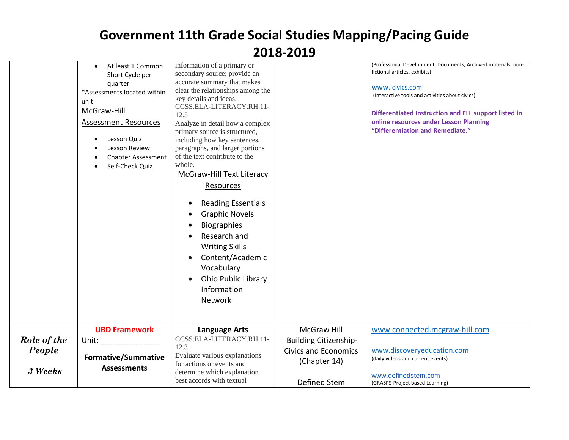|                                  | At least 1 Common<br>$\bullet$<br>Short Cycle per<br>quarter<br>*Assessments located within<br>unit<br>McGraw-Hill<br><b>Assessment Resources</b><br>Lesson Quiz<br>Lesson Review<br><b>Chapter Assessment</b><br>Self-Check Quiz | information of a primary or<br>secondary source; provide an<br>accurate summary that makes<br>clear the relationships among the<br>key details and ideas.<br>CCSS.ELA-LITERACY.RH.11-<br>12.5<br>Analyze in detail how a complex<br>primary source is structured,<br>including how key sentences,<br>paragraphs, and larger portions<br>of the text contribute to the<br>whole.<br><b>McGraw-Hill Text Literacy</b><br>Resources<br><b>Reading Essentials</b><br>$\bullet$<br><b>Graphic Novels</b><br><b>Biographies</b><br>Research and<br><b>Writing Skills</b><br>Content/Academic<br>$\bullet$<br>Vocabulary<br><b>Ohio Public Library</b><br>$\bullet$<br>Information<br>Network |                                                                                            | (Professional Development, Documents, Archived materials, non-<br>fictional articles, exhibits)<br>www.icivics.com<br>(Interactive tools and activities about civics)<br>Differentiated Instruction and ELL support listed in<br>online resources under Lesson Planning<br>"Differentiation and Remediate." |
|----------------------------------|-----------------------------------------------------------------------------------------------------------------------------------------------------------------------------------------------------------------------------------|----------------------------------------------------------------------------------------------------------------------------------------------------------------------------------------------------------------------------------------------------------------------------------------------------------------------------------------------------------------------------------------------------------------------------------------------------------------------------------------------------------------------------------------------------------------------------------------------------------------------------------------------------------------------------------------|--------------------------------------------------------------------------------------------|-------------------------------------------------------------------------------------------------------------------------------------------------------------------------------------------------------------------------------------------------------------------------------------------------------------|
| Role of the<br>People<br>3 Weeks | <b>UBD Framework</b><br>Unit:<br><b>Formative/Summative</b><br><b>Assessments</b>                                                                                                                                                 | <b>Language Arts</b><br>CCSS.ELA-LITERACY.RH.11-<br>12.3<br>Evaluate various explanations<br>for actions or events and<br>determine which explanation<br>best accords with textual                                                                                                                                                                                                                                                                                                                                                                                                                                                                                                     | McGraw Hill<br><b>Building Citizenship-</b><br><b>Civics and Economics</b><br>(Chapter 14) | www.connected.mcgraw-hill.com<br>www.discoveryeducation.com<br>(daily videos and current events)<br>www.definedstem.com                                                                                                                                                                                     |
|                                  |                                                                                                                                                                                                                                   |                                                                                                                                                                                                                                                                                                                                                                                                                                                                                                                                                                                                                                                                                        | Defined Stem                                                                               | (GRASPS-Project based Learning)                                                                                                                                                                                                                                                                             |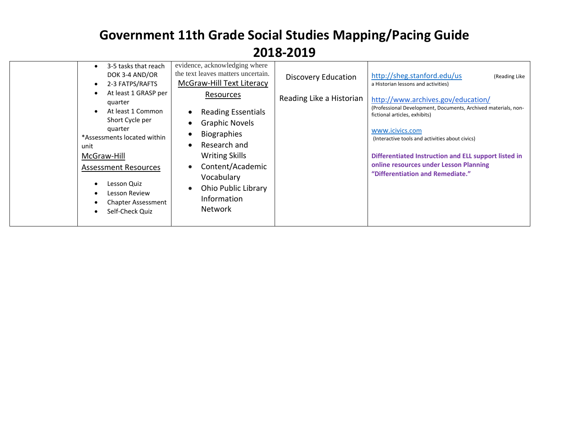|  | 3-5 tasks that reach<br>DOK 3-4 AND/OR<br>2-3 FATPS/RAFTS<br>At least 1 GRASP per<br>quarter<br>At least 1 Common<br>Short Cycle per<br>quarter<br>*Assessments located within<br>unit<br>McGraw-Hill<br><b>Assessment Resources</b><br>Lesson Quiz<br>Lesson Review<br><b>Chapter Assessment</b><br>Self-Check Quiz | evidence, acknowledging where<br>the text leaves matters uncertain.<br>McGraw-Hill Text Literacy<br>Resources<br><b>Reading Essentials</b><br>$\bullet$<br><b>Graphic Novels</b><br>$\bullet$<br><b>Biographies</b><br>$\bullet$<br>Research and<br>$\bullet$<br><b>Writing Skills</b><br>Content/Academic<br>$\bullet$<br>Vocabulary<br><b>Ohio Public Library</b><br>$\bullet$<br>Information<br><b>Network</b> | <b>Discovery Education</b><br>Reading Like a Historian | http://sheg.stanford.edu/us<br>(Reading Like<br>a Historian lessons and activities)<br>http://www.archives.gov/education/<br>(Professional Development, Documents, Archived materials, non-<br>fictional articles, exhibits)<br>www.icivics.com<br>(Interactive tools and activities about civics)<br>Differentiated Instruction and ELL support listed in<br>online resources under Lesson Planning<br>"Differentiation and Remediate." |
|--|----------------------------------------------------------------------------------------------------------------------------------------------------------------------------------------------------------------------------------------------------------------------------------------------------------------------|-------------------------------------------------------------------------------------------------------------------------------------------------------------------------------------------------------------------------------------------------------------------------------------------------------------------------------------------------------------------------------------------------------------------|--------------------------------------------------------|------------------------------------------------------------------------------------------------------------------------------------------------------------------------------------------------------------------------------------------------------------------------------------------------------------------------------------------------------------------------------------------------------------------------------------------|
|--|----------------------------------------------------------------------------------------------------------------------------------------------------------------------------------------------------------------------------------------------------------------------------------------------------------------------|-------------------------------------------------------------------------------------------------------------------------------------------------------------------------------------------------------------------------------------------------------------------------------------------------------------------------------------------------------------------------------------------------------------------|--------------------------------------------------------|------------------------------------------------------------------------------------------------------------------------------------------------------------------------------------------------------------------------------------------------------------------------------------------------------------------------------------------------------------------------------------------------------------------------------------------|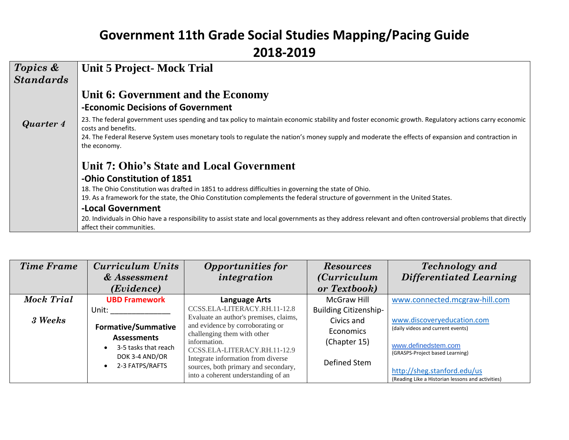| Topics &         | <b>Unit 5 Project-Mock Trial</b>                                                                                                                                                         |
|------------------|------------------------------------------------------------------------------------------------------------------------------------------------------------------------------------------|
| <b>Standards</b> |                                                                                                                                                                                          |
|                  | Unit 6: Government and the Economy                                                                                                                                                       |
|                  | -Economic Decisions of Government                                                                                                                                                        |
| Quarter 4        | 23. The federal government uses spending and tax policy to maintain economic stability and foster economic growth. Regulatory actions carry economic<br>costs and benefits.              |
|                  | 24. The Federal Reserve System uses monetary tools to regulate the nation's money supply and moderate the effects of expansion and contraction in<br>the economy.                        |
|                  | Unit 7: Ohio's State and Local Government                                                                                                                                                |
|                  | -Ohio Constitution of 1851                                                                                                                                                               |
|                  | 18. The Ohio Constitution was drafted in 1851 to address difficulties in governing the state of Ohio.                                                                                    |
|                  | 19. As a framework for the state, the Ohio Constitution complements the federal structure of government in the United States.                                                            |
|                  | -Local Government                                                                                                                                                                        |
|                  | 20. Individuals in Ohio have a responsibility to assist state and local governments as they address relevant and often controversial problems that directly<br>affect their communities. |

| <b>Time Frame</b> | <b>Curriculum Units</b>                        | <b>Opportunities for</b>                                                                                   | <b>Resources</b>             | <b>Technology</b> and                                                            |
|-------------------|------------------------------------------------|------------------------------------------------------------------------------------------------------------|------------------------------|----------------------------------------------------------------------------------|
|                   | & Assessment                                   | integration                                                                                                | <i>(Curriculum</i> )         | <b>Differentiated Learning</b>                                                   |
|                   | ( <i>Evidence</i> )                            |                                                                                                            | or Textbook)                 |                                                                                  |
| Mock Trial        | <b>UBD Framework</b>                           | <b>Language Arts</b>                                                                                       | McGraw Hill                  | www.connected.mcgraw-hill.com                                                    |
|                   | Unit:                                          | CCSS.ELA-LITERACY.RH.11-12.8                                                                               | <b>Building Citizenship-</b> |                                                                                  |
| 3 Weeks           |                                                | Evaluate an author's premises, claims,<br>and evidence by corroborating or                                 | Civics and                   | www.discoveryeducation.com                                                       |
|                   | <b>Formative/Summative</b>                     | challenging them with other                                                                                | Economics                    | (daily videos and current events)                                                |
|                   | <b>Assessments</b><br>3-5 tasks that reach     | information.                                                                                               | (Chapter 15)                 | www.definedstem.com                                                              |
|                   | DOK 3-4 AND/OR<br>2-3 FATPS/RAFTS<br>$\bullet$ | CCSS.ELA-LITERACY.RH.11-12.9<br>Integrate information from diverse<br>sources, both primary and secondary, | Defined Stem                 | (GRASPS-Project based Learning)                                                  |
|                   |                                                | into a coherent understanding of an                                                                        |                              | http://sheg.stanford.edu/us<br>(Reading Like a Historian lessons and activities) |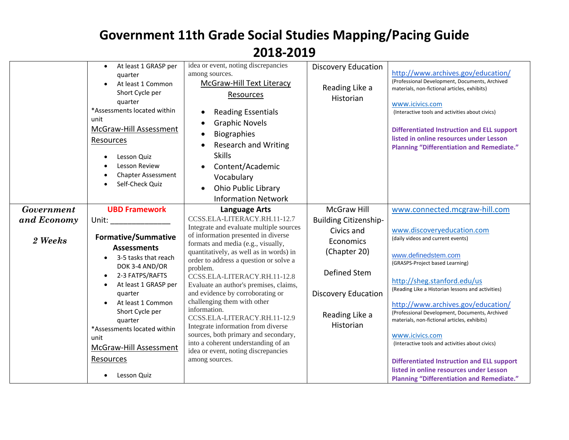|                                             | At least 1 GRASP per<br>$\bullet$<br>quarter<br>At least 1 Common<br>Short Cycle per<br>quarter<br>*Assessments located within<br>unit<br>McGraw-Hill Assessment<br>Resources<br>Lesson Quiz<br>Lesson Review<br><b>Chapter Assessment</b><br>Self-Check Quiz                                                                                                                                                                                                                                                                                                                 | idea or event, noting discrepancies<br>among sources.<br><b>McGraw-Hill Text Literacy</b><br>Resources<br><b>Reading Essentials</b><br><b>Graphic Novels</b><br><b>Biographies</b><br><b>Research and Writing</b><br><b>Skills</b><br>Content/Academic<br>Vocabulary<br>Ohio Public Library<br>$\bullet$<br><b>Information Network</b>                                                                                                                                                                                                                                                                                                                   | <b>Discovery Education</b><br>Reading Like a<br>Historian                                                                                                                  | http://www.archives.gov/education/<br>(Professional Development, Documents, Archived<br>materials, non-fictional articles, exhibits)<br>www.icivics.com<br>(Interactive tools and activities about civics)<br><b>Differentiated Instruction and ELL support</b><br>listed in online resources under Lesson<br><b>Planning "Differentiation and Remediate."</b>                                                                                                                                                                                                                                                   |
|---------------------------------------------|-------------------------------------------------------------------------------------------------------------------------------------------------------------------------------------------------------------------------------------------------------------------------------------------------------------------------------------------------------------------------------------------------------------------------------------------------------------------------------------------------------------------------------------------------------------------------------|----------------------------------------------------------------------------------------------------------------------------------------------------------------------------------------------------------------------------------------------------------------------------------------------------------------------------------------------------------------------------------------------------------------------------------------------------------------------------------------------------------------------------------------------------------------------------------------------------------------------------------------------------------|----------------------------------------------------------------------------------------------------------------------------------------------------------------------------|------------------------------------------------------------------------------------------------------------------------------------------------------------------------------------------------------------------------------------------------------------------------------------------------------------------------------------------------------------------------------------------------------------------------------------------------------------------------------------------------------------------------------------------------------------------------------------------------------------------|
| <b>Government</b><br>and Economy<br>2 Weeks | <b>UBD Framework</b><br>Unit: and the contract of the contract of the contract of the contract of the contract of the contract of the contract of the contract of the contract of the contract of the contract of the contract of the contract of the<br><b>Formative/Summative</b><br><b>Assessments</b><br>3-5 tasks that reach<br>DOK 3-4 AND/OR<br>2-3 FATPS/RAFTS<br>At least 1 GRASP per<br>$\bullet$<br>quarter<br>At least 1 Common<br>Short Cycle per<br>quarter<br>*Assessments located within<br>unit<br><b>McGraw-Hill Assessment</b><br>Resources<br>Lesson Quiz | <b>Language Arts</b><br>CCSS.ELA-LITERACY.RH.11-12.7<br>Integrate and evaluate multiple sources<br>of information presented in diverse<br>formats and media (e.g., visually,<br>quantitatively, as well as in words) in<br>order to address a question or solve a<br>problem.<br>CCSS.ELA-LITERACY.RH.11-12.8<br>Evaluate an author's premises, claims,<br>and evidence by corroborating or<br>challenging them with other<br>information.<br>CCSS.ELA-LITERACY.RH.11-12.9<br>Integrate information from diverse<br>sources, both primary and secondary,<br>into a coherent understanding of an<br>idea or event, noting discrepancies<br>among sources. | <b>McGraw Hill</b><br><b>Building Citizenship-</b><br>Civics and<br>Economics<br>(Chapter 20)<br>Defined Stem<br><b>Discovery Education</b><br>Reading Like a<br>Historian | www.connected.mcgraw-hill.com<br>www.discoveryeducation.com<br>(daily videos and current events)<br>www.definedstem.com<br>(GRASPS-Project based Learning)<br>http://sheg.stanford.edu/us<br>(Reading Like a Historian lessons and activities)<br>http://www.archives.gov/education/<br>(Professional Development, Documents, Archived<br>materials, non-fictional articles, exhibits)<br>www.icivics.com<br>(Interactive tools and activities about civics)<br><b>Differentiated Instruction and ELL support</b><br>listed in online resources under Lesson<br><b>Planning "Differentiation and Remediate."</b> |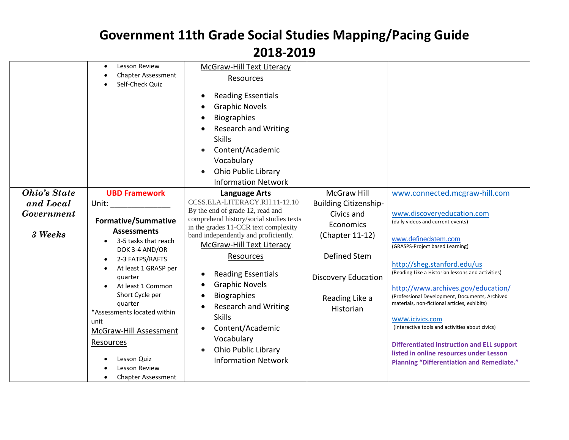|                                                           | Lesson Review<br><b>Chapter Assessment</b><br>Self-Check Quiz                                                                                                                                                                                                                                                                                                                                                                              | <b>McGraw-Hill Text Literacy</b><br>Resources<br><b>Reading Essentials</b><br><b>Graphic Novels</b><br><b>Biographies</b><br><b>Research and Writing</b><br><b>Skills</b><br>Content/Academic<br>Vocabulary<br><b>Ohio Public Library</b><br><b>Information Network</b>                                                                                                                                                                                                           |                                                                                                                                                                               |                                                                                                                                                                                                                                                                                                                                                                                                                                                                                                                                                                                                                  |
|-----------------------------------------------------------|--------------------------------------------------------------------------------------------------------------------------------------------------------------------------------------------------------------------------------------------------------------------------------------------------------------------------------------------------------------------------------------------------------------------------------------------|-----------------------------------------------------------------------------------------------------------------------------------------------------------------------------------------------------------------------------------------------------------------------------------------------------------------------------------------------------------------------------------------------------------------------------------------------------------------------------------|-------------------------------------------------------------------------------------------------------------------------------------------------------------------------------|------------------------------------------------------------------------------------------------------------------------------------------------------------------------------------------------------------------------------------------------------------------------------------------------------------------------------------------------------------------------------------------------------------------------------------------------------------------------------------------------------------------------------------------------------------------------------------------------------------------|
| <b>Ohio's State</b><br>and Local<br>Government<br>3 Weeks | <b>UBD Framework</b><br>Unit: and the state of the state of the state of the state of the state of the state of the state of the state<br><b>Formative/Summative</b><br><b>Assessments</b><br>3-5 tasks that reach<br>DOK 3-4 AND/OR<br>2-3 FATPS/RAFTS<br>At least 1 GRASP per<br>quarter<br>At least 1 Common<br>Short Cycle per<br>quarter<br>*Assessments located within<br>unit<br>McGraw-Hill Assessment<br>Resources<br>Lesson Quiz | <b>Language Arts</b><br>CCSS.ELA-LITERACY.RH.11-12.10<br>By the end of grade 12, read and<br>comprehend history/social studies texts<br>in the grades 11-CCR text complexity<br>band independently and proficiently.<br>McGraw-Hill Text Literacy<br>Resources<br><b>Reading Essentials</b><br><b>Graphic Novels</b><br><b>Biographies</b><br><b>Research and Writing</b><br><b>Skills</b><br>Content/Academic<br>Vocabulary<br>Ohio Public Library<br><b>Information Network</b> | <b>McGraw Hill</b><br><b>Building Citizenship-</b><br>Civics and<br>Economics<br>(Chapter 11-12)<br>Defined Stem<br><b>Discovery Education</b><br>Reading Like a<br>Historian | www.connected.mcgraw-hill.com<br>www.discoveryeducation.com<br>(daily videos and current events)<br>www.definedstem.com<br>(GRASPS-Project based Learning)<br>http://sheg.stanford.edu/us<br>(Reading Like a Historian lessons and activities)<br>http://www.archives.gov/education/<br>(Professional Development, Documents, Archived<br>materials, non-fictional articles, exhibits)<br>www.icivics.com<br>(Interactive tools and activities about civics)<br><b>Differentiated Instruction and ELL support</b><br>listed in online resources under Lesson<br><b>Planning "Differentiation and Remediate."</b> |